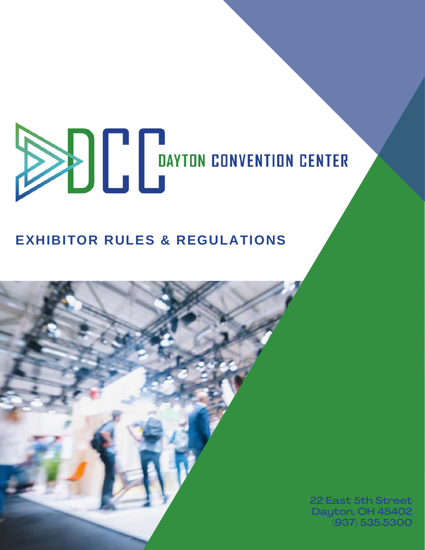# **ENTER BAYTON CONVENTION CENTER**

# **EXHIBITOR RULES & REGULATIONS**

22 East 5th Street Dayton, OH 45402 (937) 535.5300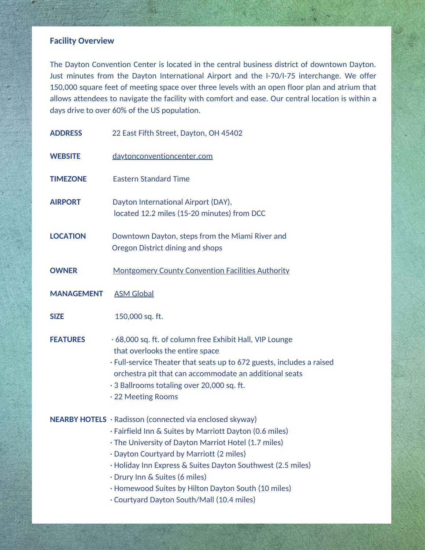# **Facility Overview**

The Dayton Convention Center is located in the central business district of downtown Dayton. Just minutes from the Dayton International Airport and the I-70/I-75 interchange. We offer 150,000 square feet of meeting space over three levels with an open floor plan and atrium that allows attendees to navigate the facility with comfort and ease. Our central location is within a days drive to over 60% of the US population.

| <b>ADDRESS</b>    | 22 East Fifth Street, Dayton, OH 45402                                                                                                                                                                                                                                                                                                                                                                                      |
|-------------------|-----------------------------------------------------------------------------------------------------------------------------------------------------------------------------------------------------------------------------------------------------------------------------------------------------------------------------------------------------------------------------------------------------------------------------|
| <b>WEBSITE</b>    | daytonconventioncenter.com                                                                                                                                                                                                                                                                                                                                                                                                  |
| <b>TIMEZONE</b>   | <b>Eastern Standard Time</b>                                                                                                                                                                                                                                                                                                                                                                                                |
| <b>AIRPORT</b>    | Dayton International Airport (DAY),<br>located 12.2 miles (15-20 minutes) from DCC                                                                                                                                                                                                                                                                                                                                          |
| <b>LOCATION</b>   | Downtown Dayton, steps from the Miami River and<br><b>Oregon District dining and shops</b>                                                                                                                                                                                                                                                                                                                                  |
| <b>OWNER</b>      | <b>Montgomery County Convention Facilities Authority</b>                                                                                                                                                                                                                                                                                                                                                                    |
| <b>MANAGEMENT</b> | <b>ASM Global</b>                                                                                                                                                                                                                                                                                                                                                                                                           |
| <b>SIZE</b>       | 150,000 sq. ft.                                                                                                                                                                                                                                                                                                                                                                                                             |
| <b>FEATURES</b>   | .68,000 sq. ft. of column free Exhibit Hall, VIP Lounge<br>that overlooks the entire space<br>. Full-service Theater that seats up to 672 guests, includes a raised<br>orchestra pit that can accommodate an additional seats<br>· 3 Ballrooms totaling over 20,000 sq. ft.<br>· 22 Meeting Rooms                                                                                                                           |
|                   | NEARBY HOTELS · Radisson (connected via enclosed skyway)<br>· Fairfield Inn & Suites by Marriott Dayton (0.6 miles)<br>· The University of Dayton Marriot Hotel (1.7 miles)<br>· Dayton Courtyard by Marriott (2 miles)<br>· Holiday Inn Express & Suites Dayton Southwest (2.5 miles)<br>· Drury Inn & Suites (6 miles)<br>· Homewood Suites by Hilton Dayton South (10 miles)<br>Courtyard Dayton South/Mall (10.4 miles) |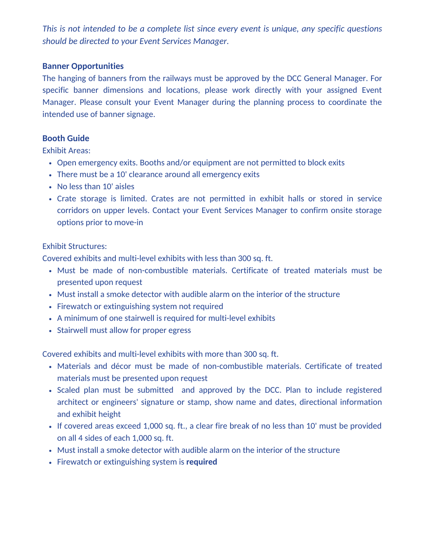*This is not intended to be a complete list since every event is unique, any specific questions should be directed to your Event Services Manager.*

#### **Banner Opportunities**

The hanging of banners from the railways must be approved by the DCC General Manager. For specific banner dimensions and locations, please work directly with your assigned Event Manager. Please consult your Event Manager during the planning process to coordinate the intended use of banner signage.

#### **Booth Guide**

Exhibit Areas:

- Open emergency exits. Booths and/or equipment are not permitted to block exits
- There must be a 10' clearance around all emergency exits
- No less than 10' aisles
- Crate storage is limited. Crates are not permitted in exhibit halls or stored in service corridors on upper levels. Contact your Event Services Manager to confirm onsite storage options prior to move-in

#### Exhibit Structures:

Covered exhibits and multi-level exhibits with less than 300 sq. ft.

- Must be made of non-combustible materials. Certificate of treated materials must be presented upon request
- Must install a smoke detector with audible alarm on the interior of the structure
- Firewatch or extinguishing system not required
- A minimum of one stairwell is required for multi-level exhibits
- Stairwell must allow for proper egress

Covered exhibits and multi-level exhibits with more than 300 sq. ft.

- Materials and décor must be made of non-combustible materials. Certificate of treated materials must be presented upon request
- Scaled plan must be submitted and approved by the DCC. Plan to include registered architect or engineers' signature or stamp, show name and dates, directional information and exhibit height
- If covered areas exceed 1,000 sq. ft., a clear fire break of no less than 10' must be provided on all 4 sides of each 1,000 sq. ft.
- Must install a smoke detector with audible alarm on the interior of the structure
- Firewatch or extinguishing system is **required**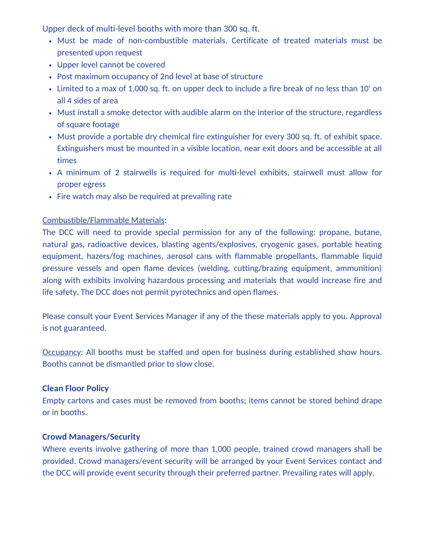Upper deck of multi-level booths with more than 300 sq. ft.

- Must be made of non-combustible materials. Certificate of treated materials must be presented upon request
- Upper level cannot be covered
- Post maximum occupancy of 2nd level at base of structure
- Limited to a max of 1,000 sq. ft. on upper deck to include a fire break of no less than 10' on all 4 sides of area
- Must install a smoke detector with audible alarm on the interior of the structure, regardless of square footage
- Must provide a portable dry chemical fire extinguisher for every 300 sq. ft. of exhibit space. Extinguishers must be mounted in a visible location, near exit doors and be accessible at all times
- A minimum of 2 stairwells is required for multi-level exhibits, stairwell must allow for proper egress
- Fire watch may also be required at prevailing rate

#### Combustible/Flammable Materials:

The DCC will need to provide special permission for any of the following: propane, butane, natural gas, radioactive devices, blasting agents/explosives, cryogenic gases, portable heating equipment, hazers/fog machines, aerosol cans with flammable propellants, flammable liquid pressure vessels and open flame devices (welding, cutting/brazing equipment, ammunition) along with exhibits involving hazardous processing and materials that would increase fire and life safety. The DCC does not permit pyrotechnics and open flames.

Please consult your Event Services Manager if any of the these materials apply to you. Approval is not guaranteed.

**Occupancy:** All booths must be staffed and open for business during established show hours. Booths cannot be dismantled prior to slow close.

# **Clean Floor Policy**

Empty cartons and cases must be removed from booths; items cannot be stored behind drape or in booths.

#### **Crowd Managers/Security**

Where events involve gathering of more than 1,000 people, trained crowd managers shall be provided. Crowd managers/event security will be arranged by your Event Services contact and the DCC will provide event security through their preferred partner. Prevailing rates will apply.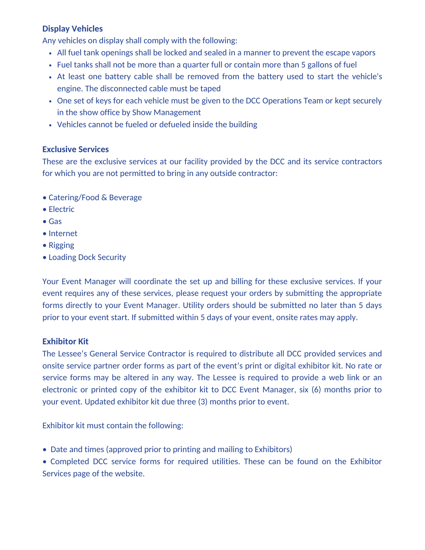# **Display Vehicles**

Any vehicles on display shall comply with the following:

- All fuel tank openings shall be locked and sealed in a manner to prevent the escape vapors
- Fuel tanks shall not be more than a quarter full or contain more than 5 gallons of fuel
- At least one battery cable shall be removed from the battery used to start the vehicle's engine. The disconnected cable must be taped
- One set of keys for each vehicle must be given to the DCC Operations Team or kept securely in the show office by Show Management
- Vehicles cannot be fueled or defueled inside the building

# **Exclusive Services**

These are the exclusive services at our facility provided by the DCC and its service contractors for which you are not permitted to bring in any outside contractor:

- Catering/Food & Beverage
- Electric
- Gas
- Internet
- Rigging
- Loading Dock Security

Your Event Manager will coordinate the set up and billing for these exclusive services. If your event requires any of these services, please request your orders by submitting the appropriate forms directly to your Event Manager. Utility orders should be submitted no later than 5 days prior to your event start. If submitted within 5 days of your event, onsite rates may apply.

# **Exhibitor Kit**

The Lessee's General Service Contractor is required to distribute all DCC provided services and onsite service partner order forms as part of the event's print or digital exhibitor kit. No rate or service forms may be altered in any way. The Lessee is required to provide a web link or an electronic or printed copy of the exhibitor kit to DCC Event Manager, six (6) months prior to your event. Updated exhibitor kit due three (3) months prior to event.

Exhibitor kit must contain the following:

- Date and times (approved prior to printing and mailing to Exhibitors)
- Completed DCC service forms for required utilities. These can be found on the Exhibitor Services page of the website.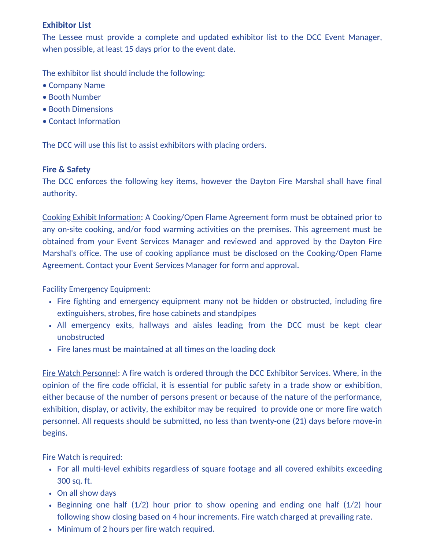# **Exhibitor List**

The Lessee must provide a complete and updated exhibitor list to the DCC Event Manager, when possible, at least 15 days prior to the event date.

The exhibitor list should include the following:

- Company Name
- Booth Number
- Booth Dimensions
- Contact Information

The DCC will use this list to assist exhibitors with placing orders.

# **Fire & Safety**

The DCC enforces the following key items, however the Dayton Fire Marshal shall have final authority.

Cooking Exhibit Information: A Cooking/Open Flame Agreement form must be obtained prior to any on-site cooking, and/or food warming activities on the premises. This agreement must be obtained from your Event Services Manager and reviewed and approved by the Dayton Fire Marshal's office. The use of cooking appliance must be disclosed on the Cooking/Open Flame Agreement. Contact your Event Services Manager for form and approval.

Facility Emergency Equipment:

- Fire fighting and emergency equipment many not be hidden or obstructed, including fire extinguishers, strobes, fire hose cabinets and standpipes
- All emergency exits, hallways and aisles leading from the DCC must be kept clear unobstructed
- Fire lanes must be maintained at all times on the loading dock

Fire Watch Personnel: A fire watch is ordered through the DCC Exhibitor Services. Where, in the opinion of the fire code official, it is essential for public safety in a trade show or exhibition, either because of the number of persons present or because of the nature of the performance, exhibition, display, or activity, the exhibitor may be required to provide one or more fire watch personnel. All requests should be submitted, no less than twenty-one (21) days before move-in begins.

Fire Watch is required:

- For all multi-level exhibits regardless of square footage and all covered exhibits exceeding 300 sq. ft.
- On all show days
- Beginning one half (1/2) hour prior to show opening and ending one half (1/2) hour following show closing based on 4 hour increments. Fire watch charged at prevailing rate.
- Minimum of 2 hours per fire watch required.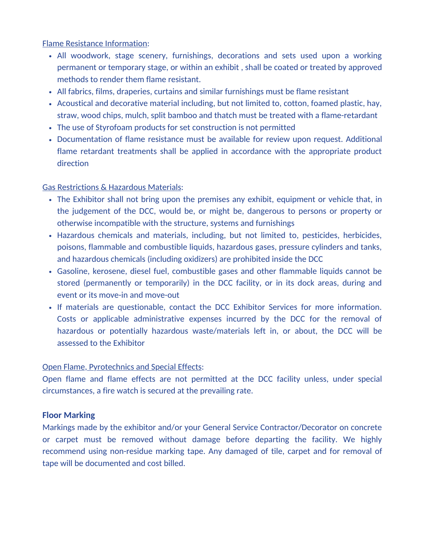#### Flame Resistance Information:

- All woodwork, stage scenery, furnishings, decorations and sets used upon a working permanent or temporary stage, or within an exhibit , shall be coated or treated by approved methods to render them flame resistant.
- All fabrics, films, draperies, curtains and similar furnishings must be flame resistant
- Acoustical and decorative material including, but not limited to, cotton, foamed plastic, hay, straw, wood chips, mulch, split bamboo and thatch must be treated with a flame-retardant
- The use of Styrofoam products for set construction is not permitted
- Documentation of flame resistance must be available for review upon request. Additional flame retardant treatments shall be applied in accordance with the appropriate product direction

#### Gas Restrictions & Hazardous Materials:

- The Exhibitor shall not bring upon the premises any exhibit, equipment or vehicle that, in the judgement of the DCC, would be, or might be, dangerous to persons or property or otherwise incompatible with the structure, systems and furnishings
- Hazardous chemicals and materials, including, but not limited to, pesticides, herbicides, poisons, flammable and combustible liquids, hazardous gases, pressure cylinders and tanks, and hazardous chemicals (including oxidizers) are prohibited inside the DCC
- Gasoline, kerosene, diesel fuel, combustible gases and other flammable liquids cannot be stored (permanently or temporarily) in the DCC facility, or in its dock areas, during and event or its move-in and move-out
- If materials are questionable, contact the DCC Exhibitor Services for more information. Costs or applicable administrative expenses incurred by the DCC for the removal of hazardous or potentially hazardous waste/materials left in, or about, the DCC will be assessed to the Exhibitor

#### Open Flame, Pyrotechnics and Special Effects:

Open flame and flame effects are not permitted at the DCC facility unless, under special circumstances, a fire watch is secured at the prevailing rate.

# **Floor Marking**

Markings made by the exhibitor and/or your General Service Contractor/Decorator on concrete or carpet must be removed without damage before departing the facility. We highly recommend using non-residue marking tape. Any damaged of tile, carpet and for removal of tape will be documented and cost billed.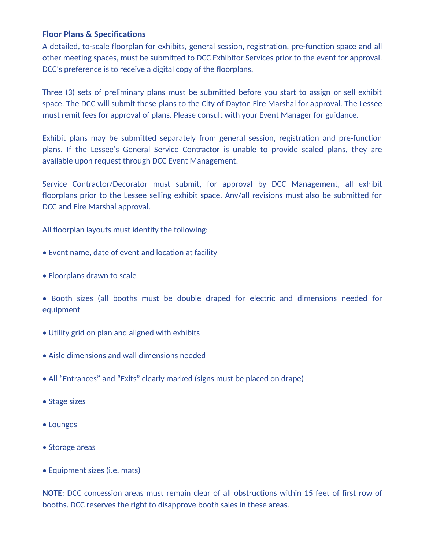#### **Floor Plans & Specifications**

A detailed, to-scale floorplan for exhibits, general session, registration, pre-function space and all other meeting spaces, must be submitted to DCC Exhibitor Services prior to the event for approval. DCC's preference is to receive a digital copy of the floorplans.

Three (3) sets of preliminary plans must be submitted before you start to assign or sell exhibit space. The DCC will submit these plans to the City of Dayton Fire Marshal for approval. The Lessee must remit fees for approval of plans. Please consult with your Event Manager for guidance.

Exhibit plans may be submitted separately from general session, registration and pre-function plans. If the Lessee's General Service Contractor is unable to provide scaled plans, they are available upon request through DCC Event Management.

Service Contractor/Decorator must submit, for approval by DCC Management, all exhibit floorplans prior to the Lessee selling exhibit space. Any/all revisions must also be submitted for DCC and Fire Marshal approval.

All floorplan layouts must identify the following:

- Event name, date of event and location at facility
- Floorplans drawn to scale
- Booth sizes (all booths must be double draped for electric and dimensions needed for equipment
- Utility grid on plan and aligned with exhibits
- Aisle dimensions and wall dimensions needed
- All "Entrances" and "Exits" clearly marked (signs must be placed on drape)
- Stage sizes
- Lounges
- Storage areas
- Equipment sizes (i.e. mats)

**NOTE**: DCC concession areas must remain clear of all obstructions within 15 feet of first row of booths. DCC reserves the right to disapprove booth sales in these areas.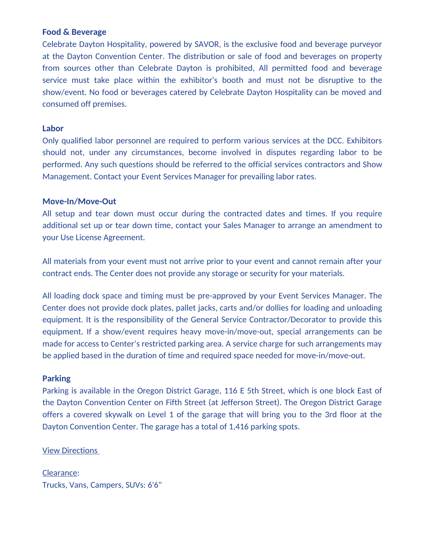#### **Food & Beverage**

Celebrate Dayton Hospitality, powered by SAVOR, is the exclusive food and beverage purveyor at the Dayton Convention Center. The distribution or sale of food and beverages on property from sources other than Celebrate Dayton is prohibited, All permitted food and beverage service must take place within the exhibitor's booth and must not be disruptive to the show/event. No food or beverages catered by Celebrate Dayton Hospitality can be moved and consumed off premises.

#### **Labor**

Only qualified labor personnel are required to perform various services at the DCC. Exhibitors should not, under any circumstances, become involved in disputes regarding labor to be performed. Any such questions should be referred to the official services contractors and Show Management. Contact your Event Services Manager for prevailing labor rates.

#### **Move-In/Move-Out**

All setup and tear down must occur during the contracted dates and times. If you require additional set up or tear down time, contact your Sales Manager to arrange an amendment to your Use License Agreement.

All materials from your event must not arrive prior to your event and cannot remain after your contract ends. The Center does not provide any storage or security for your materials.

All loading dock space and timing must be pre-approved by your Event Services Manager. The Center does not provide dock plates, pallet jacks, carts and/or dollies for loading and unloading equipment. It is the responsibility of the General Service Contractor/Decorator to provide this equipment. If a show/event requires heavy move-in/move-out, special arrangements can be made for access to Center's restricted parking area. A service charge for such arrangements may be applied based in the duration of time and required space needed for move-in/move-out.

#### **Parking**

Parking is available in the Oregon District Garage, 116 E 5th Street, which is one block East of the Dayton Convention Center on Fifth Street (at Jefferson Street). The Oregon District Garage offers a covered skywalk on Level 1 of the garage that will bring you to the 3rd floor at the Dayton Convention Center. The garage has a total of 1,416 parking spots.

#### [View Directions](https://www.google.co.in/maps/place/22+E+5th+St,+Dayton,+OH+45402/@39.756775,-84.18952,18z/data=!4m5!3m4!1s0x884081548bea0149:0x18f20abfd6115913!8m2!3d39.7561515!4d-84.1899955?hl=en)

Clearance: Trucks, Vans, Campers, SUVs: 6'6"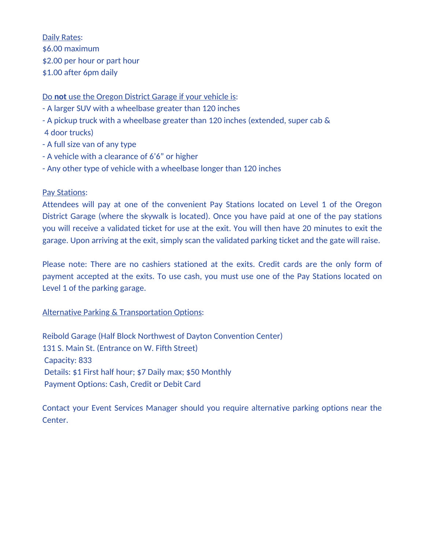Daily Rates: \$6.00 maximum \$2.00 per hour or part hour \$1.00 after 6pm daily

#### Do **not** use the Oregon District Garage if your vehicle is:

- A larger SUV with a wheelbase greater than 120 inches
- A pickup truck with a wheelbase greater than 120 inches (extended, super cab &
- 4 door trucks)
- A full size van of any type
- A vehicle with a clearance of 6'6" or higher
- Any other type of vehicle with a wheelbase longer than 120 inches

#### Pay Stations:

Attendees will pay at one of the convenient Pay Stations located on Level 1 of the Oregon District Garage (where the skywalk is located). Once you have paid at one of the pay stations you will receive a validated ticket for use at the exit. You will then have 20 minutes to exit the garage. Upon arriving at the exit, simply scan the validated parking ticket and the gate will raise.

Please note: There are no cashiers stationed at the exits. Credit cards are the only form of payment accepted at the exits. To use cash, you must use one of the Pay Stations located on Level 1 of the parking garage.

# Alternative Parking & Transportation Options:

Reibold Garage (Half Block Northwest of Dayton Convention Center) 131 S. Main St. (Entrance on W. Fifth Street) Capacity: 833 Details: \$1 First half hour; \$7 Daily max; \$50 Monthly Payment Options: Cash, Credit or Debit Card

Contact your Event Services Manager should you require alternative parking options near the Center.